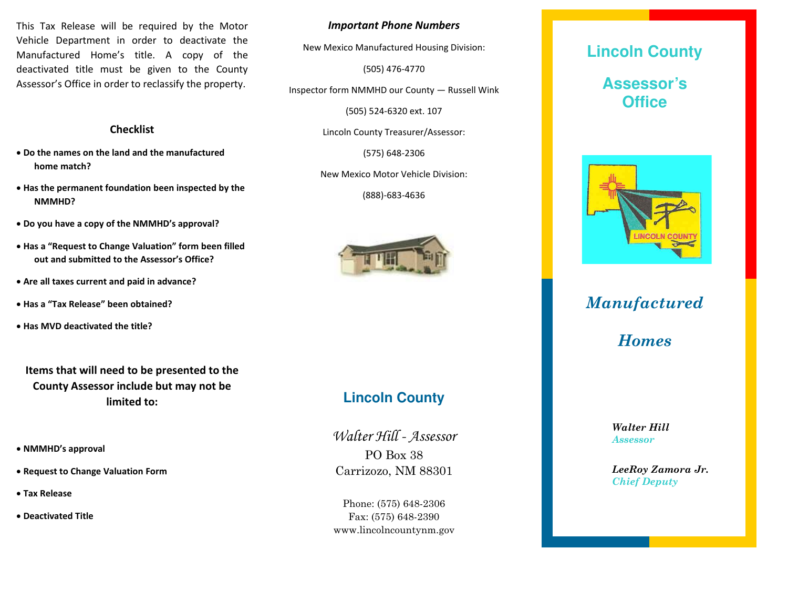This Tax Release will be required by the Motor Vehicle Department in order to deactivate the Manufactured Home's title. A copy of the deactivated title must be given to the County Assessor's Office in order to reclassify the property.

#### **Checklist**

- **Do the names on the land and the manufactured home match?**
- **Has the permanent foundation been inspected by the NMMHD?**
- **Do you have a copy of the NMMHD's approval?**
- **Has a "Request to Change Valuation" form been filled out and submitted to the Assessor's Office?**
- **Are all taxes current and paid in advance?**
- **Has a "Tax Release" been obtained?**
- **Has MVD deactivated the title?**

**Items that will need to be presented to the County Assessor include but may not be limited to:**

- **NMMHD's approval**
- **Request to Change Valuation Form**
- **Tax Release**
- **Deactivated Title**

*Important Phone Numbers*

New Mexico Manufactured Housing Division:

(505) 476-4770

Inspector form NMMHD our County — Russell Wink

(505) 524-6320 ext. 107

Lincoln County Treasurer/Assessor:

(575) 648-2306

New Mexico Motor Vehicle Division:

(888)-683-4636



## **Lincoln County**

Walter Hill - Assessor PO Box 38 Carrizozo, NM 88301

Phone: (575) 648-2306 Fax: (575) 648-2390 www.lincolncountynm.gov

# **Lincoln County Assessor's Office**



## *Manufactured*

*Homes*

*Walter Hill Assessor*

*LeeRoy Zamora Jr. Chief Deputy*